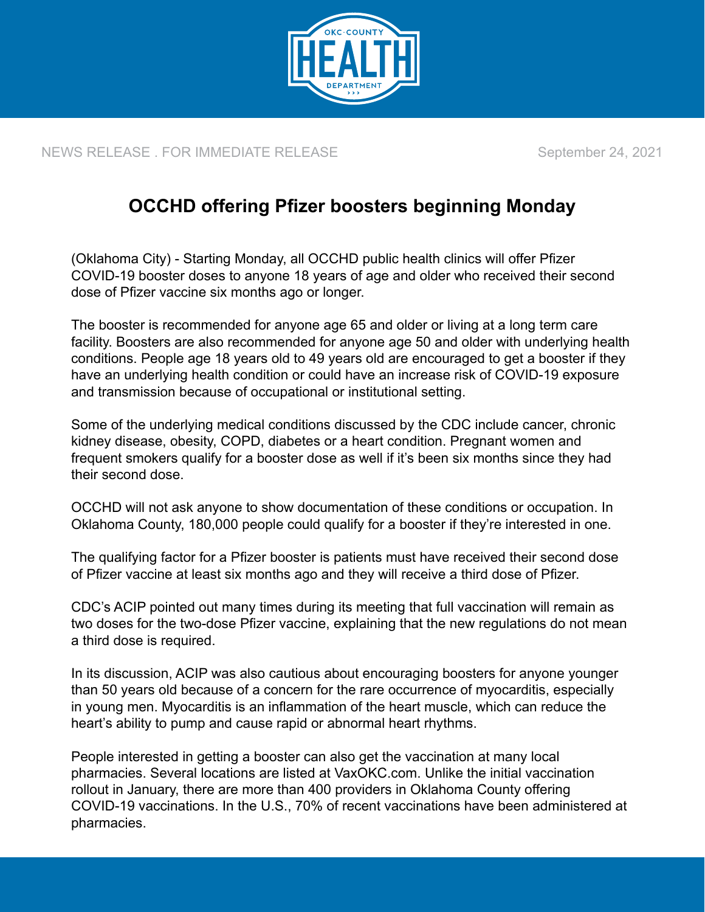

NEWS RELEASE . FOR IMMEDIATE RELEASE September 24, 2021

## **OCCHD offering Pfizer boosters beginning Monday**

(Oklahoma City) - Starting Monday, all OCCHD public health clinics will offer Pfizer COVID-19 booster doses to anyone 18 years of age and older who received their second dose of Pfizer vaccine six months ago or longer.

The booster is recommended for anyone age 65 and older or living at a long term care facility. Boosters are also recommended for anyone age 50 and older with underlying health conditions. People age 18 years old to 49 years old are encouraged to get a booster if they have an underlying health condition or could have an increase risk of COVID-19 exposure and transmission because of occupational or institutional setting.

Some of the underlying medical conditions discussed by the CDC include cancer, chronic kidney disease, obesity, COPD, diabetes or a heart condition. Pregnant women and frequent smokers qualify for a booster dose as well if it's been six months since they had their second dose.

OCCHD will not ask anyone to show documentation of these conditions or occupation. In Oklahoma County, 180,000 people could qualify for a booster if they're interested in one.

The qualifying factor for a Pfizer booster is patients must have received their second dose of Pfizer vaccine at least six months ago and they will receive a third dose of Pfizer.

CDC's ACIP pointed out many times during its meeting that full vaccination will remain as two doses for the two-dose Pfizer vaccine, explaining that the new regulations do not mean a third dose is required.

In its discussion, ACIP was also cautious about encouraging boosters for anyone younger than 50 years old because of a concern for the rare occurrence of myocarditis, especially in young men. Myocarditis is an inflammation of the heart muscle, which can reduce the heart's ability to pump and cause rapid or abnormal heart rhythms.

People interested in getting a booster can also get the vaccination at many local pharmacies. Several locations are listed at [VaxOKC.com.](https://www.vaxokc.com/) Unlike the initial vaccination rollout in January, there are more than 400 providers in Oklahoma County offering COVID-19 vaccinations. In the U.S., 70% of recent vaccinations have been administered at pharmacies.